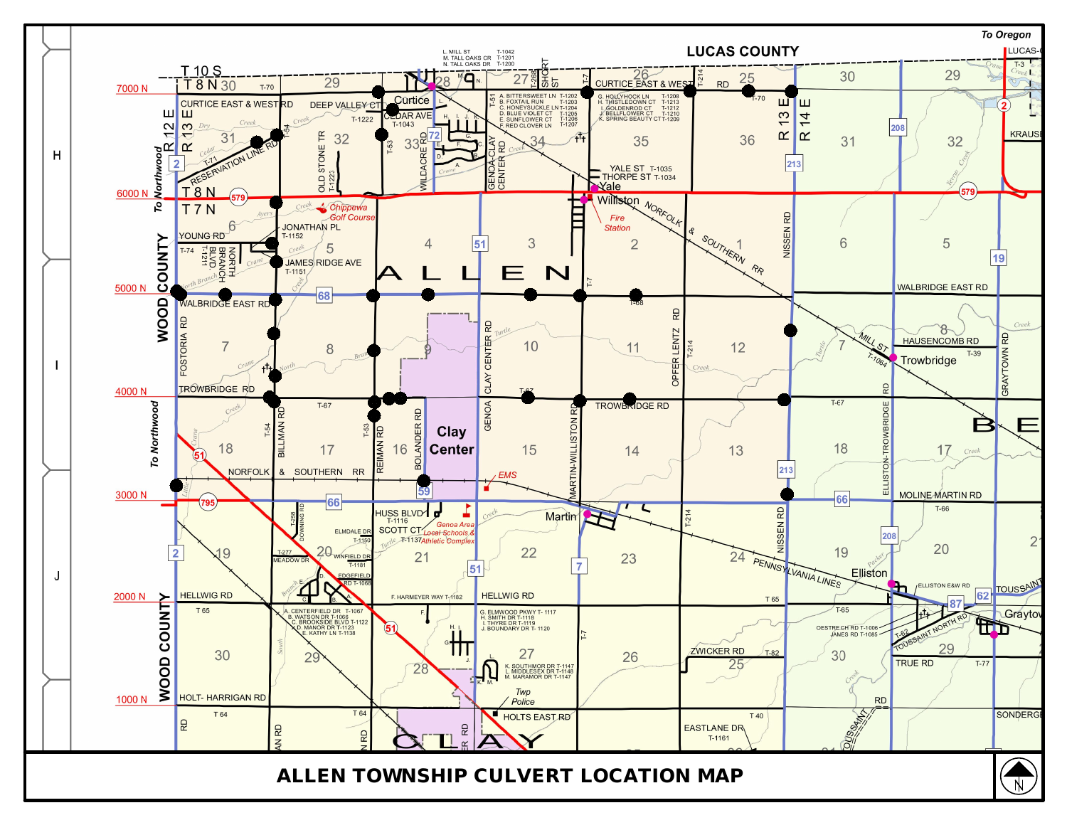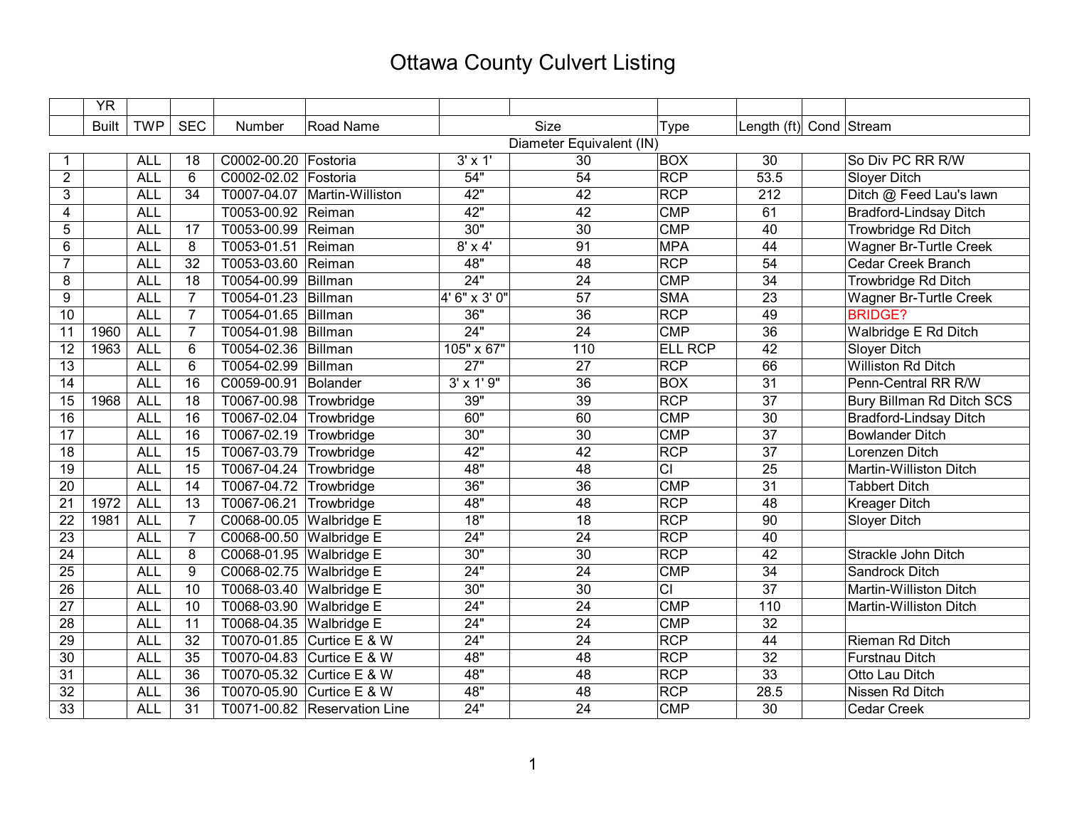## Ottawa County Culvert Listing

|                 | <b>YR</b>                |            |                 |                         |                              |                   |                 |                |                         |                               |
|-----------------|--------------------------|------------|-----------------|-------------------------|------------------------------|-------------------|-----------------|----------------|-------------------------|-------------------------------|
|                 | <b>Built</b>             | <b>TWP</b> | <b>SEC</b>      | Number                  | Road Name                    |                   | Size            | <b>Type</b>    | Length (ft) Cond Stream |                               |
|                 | Diameter Equivalent (IN) |            |                 |                         |                              |                   |                 |                |                         |                               |
|                 |                          | <b>ALL</b> | 18              | C0002-00.20 Fostoria    |                              | $3' \times 1'$    | 30              | <b>BOX</b>     | 30                      | So Div PC RR R/W              |
| $\overline{2}$  |                          | <b>ALL</b> | 6               | C0002-02.02 Fostoria    |                              | 54"               | 54              | <b>RCP</b>     | 53.5                    | <b>Sloyer Ditch</b>           |
| 3               |                          | <b>ALL</b> | 34              | T0007-04.07             | Martin-Williston             | 42"               | 42              | <b>RCP</b>     | 212                     | Ditch @ Feed Lau's lawn       |
| 4               |                          | <b>ALL</b> |                 | T0053-00.92             | Reiman                       | 42"               | $\overline{42}$ | CMP            | 61                      | <b>Bradford-Lindsay Ditch</b> |
| 5               |                          | <b>ALL</b> | 17              | T0053-00.99             | Reiman                       | 30"               | $\overline{30}$ | CMP            | 40                      | <b>Trowbridge Rd Ditch</b>    |
| 6               |                          | <b>ALL</b> | 8               | T0053-01.51             | Reiman                       | $8' \times 4'$    | 91              | <b>MPA</b>     | 44                      | <b>Wagner Br-Turtle Creek</b> |
| $\overline{7}$  |                          | <b>ALL</b> | $\overline{32}$ | T0053-03.60             | Reiman                       | 48"               | 48              | RCP            | $\overline{54}$         | <b>Cedar Creek Branch</b>     |
| 8               |                          | <b>ALL</b> | 18              | T0054-00.99             | Billman                      | 24"               | $\overline{24}$ | <b>CMP</b>     | 34                      | <b>Trowbridge Rd Ditch</b>    |
| 9               |                          | <b>ALL</b> | $\overline{7}$  | T0054-01.23             | Billman                      | 4' 6" x 3' 0"     | $\overline{57}$ | <b>SMA</b>     | $\overline{23}$         | Wagner Br-Turtle Creek        |
| 10              |                          | <b>ALL</b> | $\overline{7}$  | T0054-01.65             | Billman                      | 36"               | $\overline{36}$ | <b>RCP</b>     | 49                      | <b>BRIDGE?</b>                |
| 11              | 1960                     | <b>ALL</b> | $\overline{7}$  | T0054-01.98             | Billman                      | 24"               | $\overline{24}$ | <b>CMP</b>     | $\overline{36}$         | Walbridge E Rd Ditch          |
| 12              | 1963                     | <b>ALL</b> | 6               | T0054-02.36             | Billman                      | 105" x 67"        | 110             | <b>ELL RCP</b> | 42                      | Sloyer Ditch                  |
| 13              |                          | <b>ALL</b> | 6               | T0054-02.99             | Billman                      | 27"               | 27              | <b>RCP</b>     | 66                      | Williston Rd Ditch            |
| 14              |                          | <b>ALL</b> | 16              | C0059-00.91             | Bolander                     | $3' \times 1'$ 9" | 36              | <b>BOX</b>     | 31                      | Penn-Central RR R/W           |
| 15              | 1968                     | <b>ALL</b> | 18              | T0067-00.98             | Trowbridge                   | 39"               | 39              | <b>RCP</b>     | 37                      | Bury Billman Rd Ditch SCS     |
| $\overline{16}$ |                          | <b>ALL</b> | 16              | T0067-02.04             | Trowbridge                   | 60"               | 60              | <b>CMP</b>     | $\overline{30}$         | <b>Bradford-Lindsay Ditch</b> |
| $\overline{17}$ |                          | <b>ALL</b> | $\overline{16}$ | T0067-02.19             | Trowbridge                   | 30"               | $\overline{30}$ | CMP            | $\overline{37}$         | <b>Bowlander Ditch</b>        |
| 18              |                          | <b>ALL</b> | $\overline{15}$ | T0067-03.79             | Trowbridge                   | 42"               | $\overline{42}$ | <b>RCP</b>     | $\overline{37}$         | Lorenzen Ditch                |
| 19              |                          | <b>ALL</b> | 15              | T0067-04.24             | Trowbridge                   | 48"               | 48              | $\overline{C}$ | 25                      | Martin-Williston Ditch        |
| 20              |                          | <b>ALL</b> | 14              | T0067-04.72             | Trowbridge                   | 36"               | 36              | <b>CMP</b>     | 31                      | <b>Tabbert Ditch</b>          |
| 21              | 1972                     | <b>ALL</b> | 13              | T0067-06.21             | Trowbridge                   | 48"               | $\overline{48}$ | <b>RCP</b>     | 48                      | <b>Kreager Ditch</b>          |
| 22              | 1981                     | <b>ALL</b> | $\overline{7}$  | C0068-00.05 Walbridge E |                              | 18"               | $\overline{18}$ | <b>RCP</b>     | $\overline{90}$         | Sloyer Ditch                  |
| 23              |                          | <b>ALL</b> | $\overline{7}$  | C0068-00.50 Walbridge E |                              | 24"               | $\overline{24}$ | <b>RCP</b>     | 40                      |                               |
| 24              |                          | <b>ALL</b> | 8               | C0068-01.95 Walbridge E |                              | 30"               | $\overline{30}$ | <b>RCP</b>     | $\overline{42}$         | Strackle John Ditch           |
| $\overline{25}$ |                          | <b>ALL</b> | 9               | C0068-02.75 Walbridge E |                              | $\overline{24}$ " | $\overline{24}$ | <b>CMP</b>     | $\overline{34}$         | <b>Sandrock Ditch</b>         |
| $\overline{26}$ |                          | <b>ALL</b> | 10              | T0068-03.40             | <b>Walbridge E</b>           | 30"               | $\overline{30}$ | $\overline{c}$ | $\overline{37}$         | Martin-Williston Ditch        |
| $\overline{27}$ |                          | <b>ALL</b> | 10              | T0068-03.90             | <b>Walbridge E</b>           | 24"               | $\overline{24}$ | <b>CMP</b>     | 110                     | Martin-Williston Ditch        |
| 28              |                          | <b>ALL</b> | 11              | T0068-04.35             | <b>Walbridge E</b>           | 24"               | 24              | <b>CMP</b>     | 32                      |                               |
| $\overline{29}$ |                          | <b>ALL</b> | $\overline{32}$ | T0070-01.85             | Curtice E & W                | 24"               | $\overline{24}$ | <b>RCP</b>     | 44                      | <b>Rieman Rd Ditch</b>        |
| 30              |                          | <b>ALL</b> | 35              | T0070-04.83             | Curtice E & W                | 48"               | 48              | <b>RCP</b>     | $\overline{32}$         | <b>Furstnau Ditch</b>         |
| 31              |                          | <b>ALL</b> | 36              | T0070-05.32             | Curtice E & W                | 48"               | 48              | <b>RCP</b>     | 33                      | Otto Lau Ditch                |
| 32              |                          | <b>ALL</b> | 36              | T0070-05.90             | Curtice E & W                | 48"               | 48              | <b>RCP</b>     | 28.5                    | Nissen Rd Ditch               |
| 33              |                          | <b>ALL</b> | $\overline{31}$ |                         | T0071-00.82 Reservation Line | 24"               | 24              | <b>CMP</b>     | $\overline{30}$         | <b>Cedar Creek</b>            |